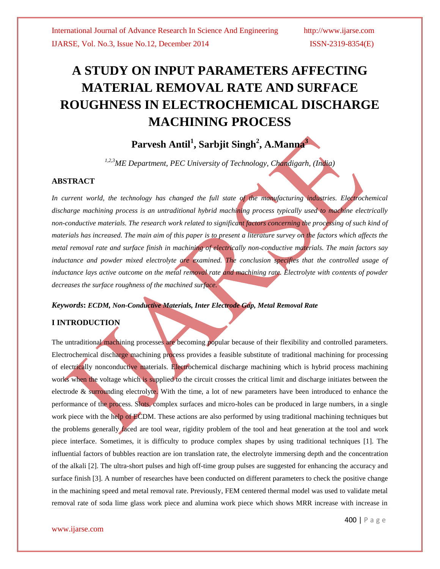# **A STUDY ON INPUT PARAMETERS AFFECTING MATERIAL REMOVAL RATE AND SURFACE ROUGHNESS IN ELECTROCHEMICAL DISCHARGE MACHINING PROCESS**

# **Parvesh Antil<sup>1</sup> , Sarbjit Singh<sup>2</sup> , A.Manna<sup>3</sup>**

*1,2,3ME Department, PEC University of Technology, Chandigarh, (India)*

#### **ABSTRACT**

In current world, the technology has changed the full state of the manufacturing industries. Electrochemical *discharge machining process is an untraditional hybrid machining process typically used to machine electrically non-conductive materials. The research work related to significant factors concerning the processing of such kind of materials has increased. The main aim of this paper is to present a literature survey on the factors which affects the metal removal rate and surface finish in machining of electrically non-conductive materials. The main factors say*  inductance and powder mixed electrolyte are examined. The conclusion specifies that the controlled usage of *inductance lays active outcome on the metal removal rate and machining rate. Electrolyte with contents of powder decreases the surface roughness of the machined surface.*

#### *Keywords***:** *ECDM, Non-Conductive Materials, Inter Electrode Gap, Metal Removal Rate*

#### **I INTRODUCTION**

The untraditional machining processes are becoming popular because of their flexibility and controlled parameters. Electrochemical discharge machining process provides a feasible substitute of traditional machining for processing of electrically nonconductive materials. Electrochemical discharge machining which is hybrid process machining works when the voltage which is supplied to the circuit crosses the critical limit and discharge initiates between the electrode & surrounding electrolyte. With the time, a lot of new parameters have been introduced to enhance the performance of the process. Slots, complex surfaces and micro-holes can be produced in large numbers, in a single work piece with the help of ECDM. These actions are also performed by using traditional machining techniques but the problems generally faced are tool wear, rigidity problem of the tool and heat generation at the tool and work piece interface. Sometimes, it is difficulty to produce complex shapes by using traditional techniques [1]. The influential factors of bubbles reaction are ion translation rate, the electrolyte immersing depth and the concentration of the alkali [2]. The ultra-short pulses and high off-time group pulses are suggested for enhancing the accuracy and surface finish [3]. A number of researches have been conducted on different parameters to check the positive change in the machining speed and metal removal rate. Previously, FEM centered thermal model was used to validate metal removal rate of soda lime glass work piece and alumina work piece which shows MRR increase with increase in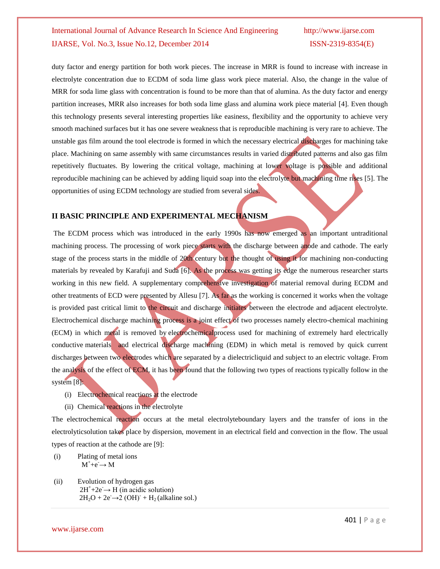duty factor and energy partition for both work pieces. The increase in MRR is found to increase with increase in electrolyte concentration due to ECDM of soda lime glass work piece material. Also, the change in the value of MRR for soda lime glass with concentration is found to be more than that of alumina. As the duty factor and energy partition increases, MRR also increases for both soda lime glass and alumina work piece material [4]. Even though this technology presents several interesting properties like easiness, flexibility and the opportunity to achieve very smooth machined surfaces but it has one severe weakness that is reproducible machining is very rare to achieve. The unstable gas film around the tool electrode is formed in which the necessary electrical discharges for machining take place. Machining on same assembly with same circumstances results in varied distributed patterns and also gas film repetitively fluctuates. By lowering the critical voltage, machining at lower voltage is possible and additional reproducible machining can be achieved by adding liquid soap into the electrolyte but machining time rises [5]. The opportunities of using ECDM technology are studied from several sides.

#### **II BASIC PRINCIPLE AND EXPERIMENTAL MECHANISM**

The ECDM process which was introduced in the early 1990s has now emerged as an important untraditional machining process. The processing of work piece starts with the discharge between anode and cathode. The early stage of the process starts in the middle of 20th century but the thought of using it for machining non-conducting materials by revealed by Karafuji and Suda [6]. As the process was getting its edge the numerous researcher starts working in this new field. A supplementary comprehensive investigation of material removal during ECDM and other treatments of ECD were presented by Allesu [7]. As far as the working is concerned it works when the voltage is provided past critical limit to the circuit and discharge initiates between the electrode and adjacent electrolyte. Electrochemical discharge machining process is a joint effect of two processes namely electro-chemical machining (ECM) in which metal is removed by electrochemicalprocess used for machining of extremely hard [electrically](http://en.wikipedia.org/wiki/Electrical_conductivity)  [conductive](http://en.wikipedia.org/wiki/Electrical_conductivity) materials and electrical discharge machining (EDM) in which metal is removed by quick current discharges between two [electrodes](http://en.wikipedia.org/wiki/Electrode) which are separated by a [dielectricliquid](http://en.wikipedia.org/wiki/Dielectric) and subject to an electric [voltage.](http://en.wikipedia.org/wiki/Voltage) From the analysis of the effect of ECM, it has been found that the following two types of reactions typically follow in the system [8]:

- (i) Electrochemical reactions at the electrode
- (ii) Chemical reactions in the electrolyte

The electrochemical reaction occurs at the metal electrolyteboundary layers and the transfer of ions in the electrolyticsolution takes place by dispersion, movement in an electrical field and convection in the flow. The usual types of reaction at the cathode are [9]:

- (i) Plating of metal ions  $M^+$ +e<sup>-</sup> $\rightarrow$  M
- (ii) Evolution of hydrogen gas  $2H^+ + 2e^- \rightarrow H$  (in acidic solution)  $2H_2O + 2e^- \rightarrow 2(OH)^+ + H_2$  (alkaline sol.)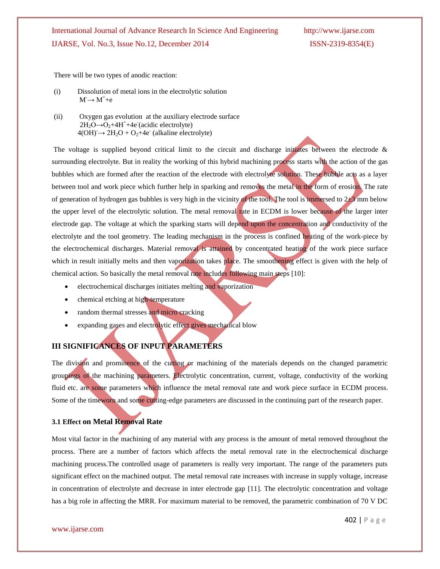There will be two types of anodic reaction:

- (i) Dissolution of metal ions in the electrolytic solution  $M \rightarrow M^+ + e^-$
- (ii) Oxygen gas evolution at the auxiliary electrode surface  $2H_2O \rightarrow O_2 + 4H^+ + 4e^-(\text{acidic electrolyte})$  $4(OH) \rightarrow 2H_2O + O_2 + 4e^-$  (alkaline electrolyte)

The voltage is supplied beyond critical limit to the circuit and discharge initiates between the electrode  $\&$ surrounding electrolyte. But in reality the working of this hybrid machining process starts with the action of the gas bubbles which are formed after the reaction of the electrode with electrolyte solution. These bubble acts as a layer between tool and work piece which further help in sparking and removes the metal in the form of erosion. The rate of generation of hydrogen gas bubbles is very high in the vicinity of the tool. The tool is immersed to  $2\pm3$  mm below the upper level of the electrolytic solution. The metal removal rate in ECDM is lower because of the larger inter electrode gap. The voltage at which the sparking starts will depend upon the concentration and conductivity of the electrolyte and the tool geometry. The leading mechanism in the process is confined heating of the work-piece by the electrochemical discharges. Material removal is attained by concentrated heating of the work piece surface which in result initially melts and then vaporization takes place. The smoothening effect is given with the help of chemical action. So basically the metal removal rate includes following main steps [10]:

- electrochemical discharges initiates melting and vaporization
- chemical etching at high-temperature
- random thermal stresses and micro cracking
- expanding gases and electrolytic effect gives mechanical blow

### **III SIGNIFICANCES OF INPUT PARAMETERS**

The division and prominence of the cutting or machining of the materials depends on the changed parametric groupings of the machining parameters. Electrolytic concentration, current, voltage, conductivity of the working fluid etc. are some parameters which influence the metal removal rate and work piece surface in ECDM process. Some of the timeworn and some cutting-edge parameters are discussed in the continuing part of the research paper.

### **3.1 Effect on Metal Removal Rate**

Most vital factor in the machining of any material with any process is the amount of metal removed throughout the process. There are a number of factors which affects the metal removal rate in the electrochemical discharge machining process.The controlled usage of parameters is really very important. The range of the parameters puts significant effect on the machined output. The metal removal rate increases with increase in supply voltage, increase in concentration of electrolyte and decrease in inter electrode gap [11]. The electrolytic concentration and voltage has a big role in affecting the MRR. For maximum material to be removed, the parametric combination of 70 V DC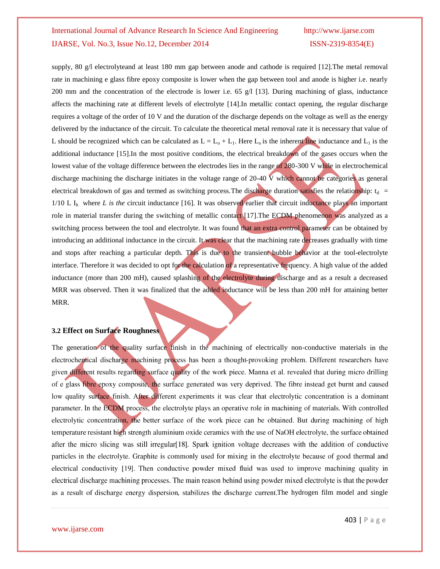supply, 80 g/l electrolyteand at least 180 mm gap between anode and cathode is required [12]. The metal removal rate in machining e glass fibre epoxy composite is lower when the gap between tool and anode is higher i.e. nearly 200 mm and the concentration of the electrode is lower i.e. 65 g/l [13]. During machining of glass, inductance affects the machining rate at different levels of electrolyte [14].In metallic contact opening, the regular discharge requires a voltage of the order of 10 V and the duration of the discharge depends on the voltage as well as the energy delivered by the inductance of the circuit. To calculate the theoretical metal removal rate it is necessary that value of L should be recognized which can be calculated as  $L = L_0 + L_1$ . Here  $L_0$  is the inherent line inductance and  $L_1$  is the additional inductance [15].In the most positive conditions, the electrical breakdown of the gases occurs when the lowest value of the voltage difference between the electrodes lies in the range of 280-300 V while in electrochemical discharge machining the discharge initiates in the voltage range of 20-40 V which cannot be categories as general electrical breakdown of gas and termed as switching process. The discharge duration satisfies the relationship:  $t_d$  =  $1/10$  L I<sub>h</sub> where *L* is the circuit inductance [16]. It was observed earlier that circuit inductance plays an important role in material transfer during the switching of metallic contact  $[17]$ . The ECDM phenomenon was analyzed as a switching process between the tool and electrolyte. It was found that an extra control parameter can be obtained by introducing an additional inductance in the circuit. It was clear that the machining rate decreases gradually with time and stops after reaching a particular depth. This is due to the transient bubble behavior at the tool-electrolyte interface. Therefore it was decided to opt for the calculation of a representative frequency. A high value of the added inductance (more than 200 mH), caused splashing of the electrolyte during discharge and as a result a decreased MRR was observed. Then it was finalized that the added inductance will be less than 200 mH for attaining better MRR.

#### **3.2 Effect on Surface Roughness**

The generation of the quality surface finish in the machining of electrically non-conductive materials in the electrochemical discharge machining process has been a thought-provoking problem. Different researchers have given different results regarding surface quality of the work piece. Manna et al. revealed that during micro drilling of e glass fibre epoxy composite, the surface generated was very deprived. The fibre instead get burnt and caused low quality surface finish. After different experiments it was clear that electrolytic concentration is a dominant parameter. In the ECDM process, the electrolyte plays an operative role in machining of materials. With controlled electrolytic concentration, the better surface of the work piece can be obtained. But during machining of high temperature resistant high strength aluminium oxide ceramics with the use of NaOH electrolyte, the surface obtained after the micro slicing was still irregular[18]. Spark ignition voltage decreases with the addition of conductive particles in the electrolyte. Graphite is commonly used for mixing in the electrolyte because of good thermal and electrical conductivity [19]. Then conductive powder mixed fluid was used to improve machining quality in electrical discharge machining processes. The main reason behind using powder mixed electrolyte is that the powder as a result of discharge energy dispersion, stabilizes the discharge current. The hydrogen film model and single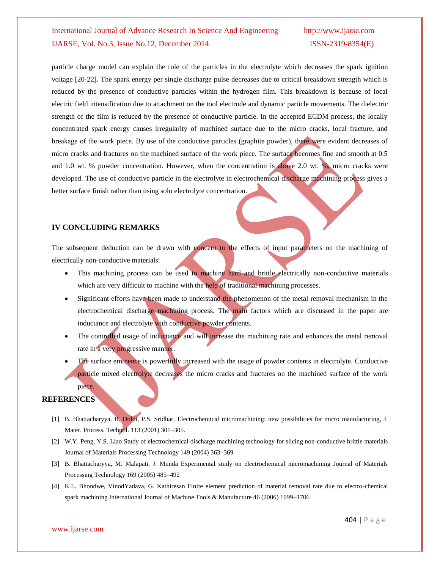particle charge model can explain the role of the particles in the electrolyte which decreases the spark ignition voltage [20-22]. The spark energy per single discharge pulse decreases due to critical breakdown strength which is reduced by the presence of conductive particles within the hydrogen film. This breakdown is because of local electric field intensification due to attachment on the tool electrode and dynamic particle movements. The dielectric strength of the film is reduced by the presence of conductive particle. In the accepted ECDM process, the locally concentrated spark energy causes irregularity of machined surface due to the micro cracks, local fracture, and breakage of the work piece. By use of the conductive particles (graphite powder), there were evident decreases of micro cracks and fractures on the machined surface of the work piece. The surface becomes fine and smooth at 0.5 and 1.0 wt. % powder concentration. However, when the concentration is above 2.0 wt. %, micro cracks were developed. The use of conductive particle in the electrolyte in electrochemical discharge machining process gives a better surface finish rather than using solo electrolyte concentration.

### **IV CONCLUDING REMARKS**

The subsequent deduction can be drawn with concern to the effects of input parameters on the machining of electrically non-conductive materials:

- This machining process can be used to machine hard and brittle electrically non-conductive materials which are very difficult to machine with the help of traditional machining processes.
- Significant efforts have been made to understand the phenomenon of the metal removal mechanism in the electrochemical discharge machining process. The main factors which are discussed in the paper are inductance and electrolyte with conductive powder contents.
- The controlled usage of inductance and will increase the machining rate and enhances the metal removal rate in a very progressive manner.
- The surface eminence is powerfully increased with the usage of powder contents in electrolyte. Conductive particle mixed electrolyte decreases the micro cracks and fractures on the machined surface of the work piece.

#### **REFERENCES**

- [1] B. Bhattacharyya, B. Doloi, P.S. Sridhar, Electrochemical micromachining: new possibilities for micro manufacturing, J. Mater. Process. Technol. 113 (2001) 301–305.
- [2] W.Y. Peng, Y.S. Liao Study of electrochemical discharge machining technology for slicing non-conductive brittle materials Journal of Materials Processing Technology 149 (2004) 363–369
- [3] B. Bhattacharyya, M. Malapati, J. Munda Experimental study on electrochemical micromachining Journal of Materials Processing Technology 169 (2005) 485–492
- [4] K.L. Bhondwe, VinodYadava, G. Kathiresan Finite element prediction of material removal rate due to electro-chemical spark machining International Journal of Machine Tools & Manufacture 46 (2006) 1699–1706